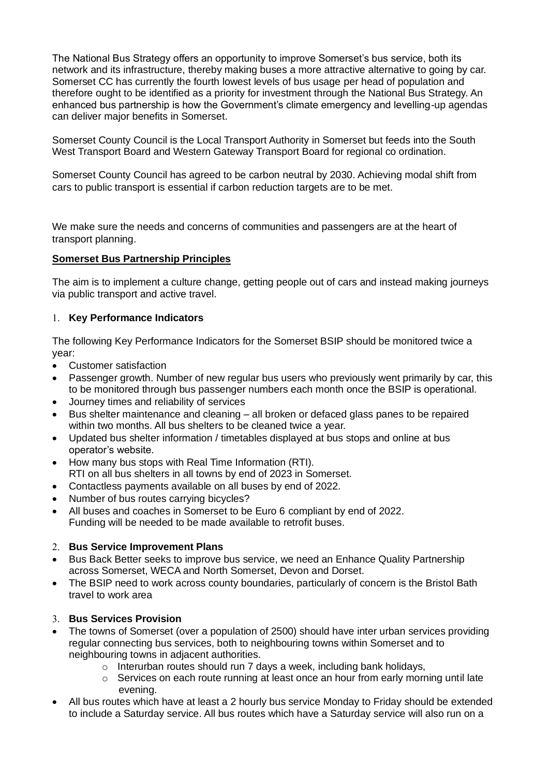The National Bus Strategy offers an opportunity to improve Somerset's bus service, both its network and its infrastructure, thereby making buses a more attractive alternative to going by car. Somerset CC has currently the fourth lowest levels of bus usage per head of population and therefore ought to be identified as a priority for investment through the National Bus Strategy. An enhanced bus partnership is how the Government's climate emergency and levelling-up agendas can deliver major benefits in Somerset.

Somerset County Council is the Local Transport Authority in Somerset but feeds into the South West Transport Board and Western Gateway Transport Board for regional co ordination.

Somerset County Council has agreed to be carbon neutral by 2030. Achieving modal shift from cars to public transport is essential if carbon reduction targets are to be met.

We make sure the needs and concerns of communities and passengers are at the heart of transport planning.

#### **Somerset Bus Partnership Principles**

The aim is to implement a culture change, getting people out of cars and instead making journeys via public transport and active travel.

#### **Key Performance Indicators**

The following Key Performance Indicators for the Somerset BSIP should be monitored twice a year:

- Customer satisfaction
- Passenger growth. Number of new regular bus users who previously went primarily by car, this to be monitored through bus passenger numbers each month once the BSIP is operational.
- Journey times and reliability of services
- Bus shelter maintenance and cleaning all broken or defaced glass panes to be repaired within two months. All bus shelters to be cleaned twice a year.
- Updated bus shelter information / timetables displayed at bus stops and online at bus operator's website.
- How many bus stops with Real Time Information (RTI). RTI on all bus shelters in all towns by end of 2023 in Somerset.
- Contactless payments available on all buses by end of 2022.
- Number of bus routes carrying bicycles?
- All buses and coaches in Somerset to be Euro 6 compliant by end of 2022. Funding will be needed to be made available to retrofit buses.

#### **Bus Service Improvement Plans**

- Bus Back Better seeks to improve bus service, we need an Enhance Quality Partnership across Somerset, WECA and North Somerset, Devon and Dorset.
- The BSIP need to work across county boundaries, particularly of concern is the Bristol Bath travel to work area

#### **Bus Services Provision**

- The towns of Somerset (over a population of 2500) should have inter urban services providing regular connecting bus services, both to neighbouring towns within Somerset and to neighbouring towns in adjacent authorities.
	- o Interurban routes should run 7 days a week, including bank holidays,
	- $\circ$  Services on each route running at least once an hour from early morning until late evening.
- All bus routes which have at least a 2 hourly bus service Monday to Friday should be extended to include a Saturday service. All bus routes which have a Saturday service will also run on a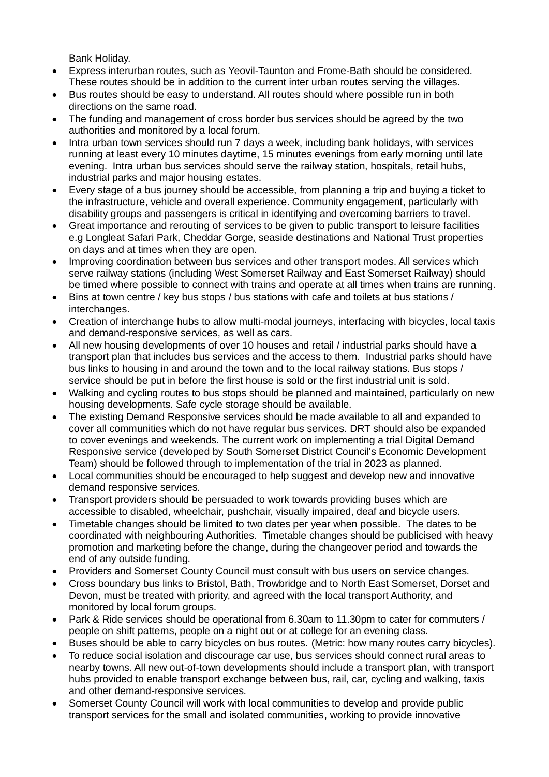Bank Holiday.

- Express interurban routes, such as Yeovil-Taunton and Frome-Bath should be considered. These routes should be in addition to the current inter urban routes serving the villages.
- Bus routes should be easy to understand. All routes should where possible run in both directions on the same road.
- The funding and management of cross border bus services should be agreed by the two authorities and monitored by a local forum.
- Intra urban town services should run 7 days a week, including bank holidays, with services running at least every 10 minutes daytime, 15 minutes evenings from early morning until late evening. Intra urban bus services should serve the railway station, hospitals, retail hubs, industrial parks and major housing estates.
- Every stage of a bus journey should be accessible, from planning a trip and buying a ticket to the infrastructure, vehicle and overall experience. Community engagement, particularly with disability groups and passengers is critical in identifying and overcoming barriers to travel.
- Great importance and rerouting of services to be given to public transport to leisure facilities e.g Longleat Safari Park, Cheddar Gorge, seaside destinations and National Trust properties on days and at times when they are open.
- Improving coordination between bus services and other transport modes. All services which serve railway stations (including West Somerset Railway and East Somerset Railway) should be timed where possible to connect with trains and operate at all times when trains are running.
- Bins at town centre / key bus stops / bus stations with cafe and toilets at bus stations / interchanges.
- Creation of interchange hubs to allow multi-modal journeys, interfacing with bicycles, local taxis and demand-responsive services, as well as cars.
- All new housing developments of over 10 houses and retail / industrial parks should have a transport plan that includes bus services and the access to them. Industrial parks should have bus links to housing in and around the town and to the local railway stations. Bus stops / service should be put in before the first house is sold or the first industrial unit is sold.
- Walking and cycling routes to bus stops should be planned and maintained, particularly on new housing developments. Safe cycle storage should be available.
- The existing Demand Responsive services should be made available to all and expanded to cover all communities which do not have regular bus services. DRT should also be expanded to cover evenings and weekends. The current work on implementing a trial Digital Demand Responsive service (developed by South Somerset District Council's Economic Development Team) should be followed through to implementation of the trial in 2023 as planned.
- Local communities should be encouraged to help suggest and develop new and innovative demand responsive services.
- Transport providers should be persuaded to work towards providing buses which are accessible to disabled, wheelchair, pushchair, visually impaired, deaf and bicycle users.
- Timetable changes should be limited to two dates per year when possible. The dates to be coordinated with neighbouring Authorities. Timetable changes should be publicised with heavy promotion and marketing before the change, during the changeover period and towards the end of any outside funding.
- Providers and Somerset County Council must consult with bus users on service changes.
- Cross boundary bus links to Bristol, Bath, Trowbridge and to North East Somerset, Dorset and Devon, must be treated with priority, and agreed with the local transport Authority, and monitored by local forum groups.
- Park & Ride services should be operational from 6.30am to 11.30pm to cater for commuters / people on shift patterns, people on a night out or at college for an evening class.
- Buses should be able to carry bicycles on bus routes. (Metric: how many routes carry bicycles).
- To reduce social isolation and discourage car use, bus services should connect rural areas to nearby towns. All new out-of-town developments should include a transport plan, with transport hubs provided to enable transport exchange between bus, rail, car, cycling and walking, taxis and other demand-responsive services.
- Somerset County Council will work with local communities to develop and provide public transport services for the small and isolated communities, working to provide innovative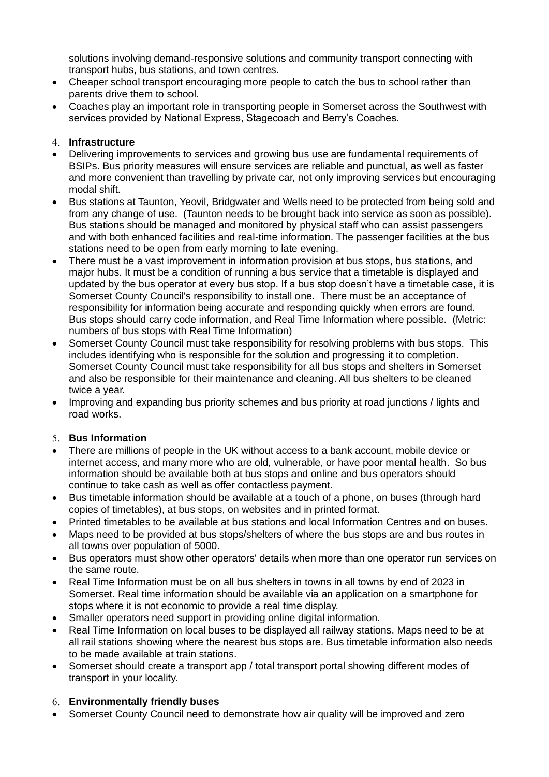solutions involving demand-responsive solutions and community transport connecting with transport hubs, bus stations, and town centres.

- Cheaper school transport encouraging more people to catch the bus to school rather than parents drive them to school.
- Coaches play an important role in transporting people in Somerset across the Southwest with services provided by National Express, Stagecoach and Berry's Coaches.

#### **Infrastructure**

- Delivering improvements to services and growing bus use are fundamental requirements of BSIPs. Bus priority measures will ensure services are reliable and punctual, as well as faster and more convenient than travelling by private car, not only improving services but encouraging modal shift.
- Bus stations at Taunton, Yeovil, Bridgwater and Wells need to be protected from being sold and from any change of use. (Taunton needs to be brought back into service as soon as possible). Bus stations should be managed and monitored by physical staff who can assist passengers and with both enhanced facilities and real-time information. The passenger facilities at the bus stations need to be open from early morning to late evening.
- There must be a vast improvement in information provision at bus stops, bus stations, and major hubs. It must be a condition of running a bus service that a timetable is displayed and updated by the bus operator at every bus stop. If a bus stop doesn't have a timetable case, it is Somerset County Council's responsibility to install one. There must be an acceptance of responsibility for information being accurate and responding quickly when errors are found. Bus stops should carry code information, and Real Time Information where possible. (Metric: numbers of bus stops with Real Time Information)
- Somerset County Council must take responsibility for resolving problems with bus stops. This includes identifying who is responsible for the solution and progressing it to completion. Somerset County Council must take responsibility for all bus stops and shelters in Somerset and also be responsible for their maintenance and cleaning. All bus shelters to be cleaned twice a year.
- Improving and expanding bus priority schemes and bus priority at road junctions / lights and road works.

## **Bus Information**

- There are millions of people in the UK without access to a bank account, mobile device or internet access, and many more who are old, vulnerable, or have poor mental health. So bus information should be available both at bus stops and online and bus operators should continue to take cash as well as offer contactless payment.
- Bus timetable information should be available at a touch of a phone, on buses (through hard copies of timetables), at bus stops, on websites and in printed format.
- Printed timetables to be available at bus stations and local Information Centres and on buses.
- Maps need to be provided at bus stops/shelters of where the bus stops are and bus routes in all towns over population of 5000.
- Bus operators must show other operators' details when more than one operator run services on the same route.
- Real Time Information must be on all bus shelters in towns in all towns by end of 2023 in Somerset. Real time information should be available via an application on a smartphone for stops where it is not economic to provide a real time display.
- Smaller operators need support in providing online digital information.
- Real Time Information on local buses to be displayed all railway stations. Maps need to be at all rail stations showing where the nearest bus stops are. Bus timetable information also needs to be made available at train stations.
- Somerset should create a transport app / total transport portal showing different modes of transport in your locality.

## **Environmentally friendly buses**

• Somerset County Council need to demonstrate how air quality will be improved and zero